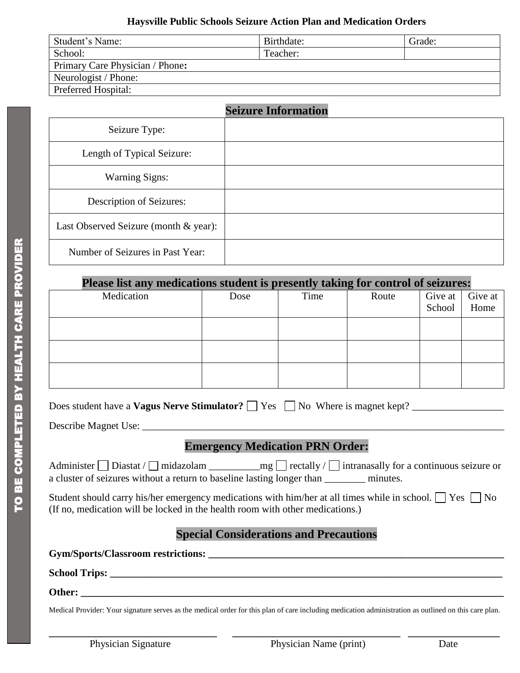#### **Haysville Public Schools Seizure Action Plan and Medication Orders**

| Student's Name:                 | Birthdate: | Grade: |
|---------------------------------|------------|--------|
| School:                         | Teacher:   |        |
| Primary Care Physician / Phone: |            |        |
| Neurologist / Phone:            |            |        |
| <b>Preferred Hospital:</b>      |            |        |

|                                       | <b>Seizure Information</b> |
|---------------------------------------|----------------------------|
| Seizure Type:                         |                            |
| Length of Typical Seizure:            |                            |
| <b>Warning Signs:</b>                 |                            |
| Description of Seizures:              |                            |
| Last Observed Seizure (month & year): |                            |
| Number of Seizures in Past Year:      |                            |

### **Please list any medications student is presently taking for control of seizures:**

| Medication | Dose | Time | Route |        | Give at Give at |
|------------|------|------|-------|--------|-----------------|
|            |      |      |       | School | Home            |
|            |      |      |       |        |                 |
|            |      |      |       |        |                 |
|            |      |      |       |        |                 |
|            |      |      |       |        |                 |
|            |      |      |       |        |                 |

| Does student have a <b>Vagus Nerve Stimulator?</b> $\Box$ Yes $\Box$ No Where is magnet kept? |  |
|-----------------------------------------------------------------------------------------------|--|
|                                                                                               |  |

Describe Magnet Use: \_\_\_\_\_\_\_\_\_\_\_\_\_\_\_\_\_\_\_\_\_\_\_\_\_\_\_\_\_\_\_\_\_\_\_\_\_\_\_\_\_\_\_\_\_\_\_\_\_\_\_\_\_\_\_\_\_\_\_\_\_\_\_\_\_\_\_\_\_\_\_

# **Emergency Medication PRN Order:**

Administer  $\Box$  Diastat /  $\Box$  midazolam  $\Box$  mg  $\Box$  rectally /  $\Box$  intranasally for a continuous seizure or a cluster of seizures without a return to baseline lasting longer than \_\_\_\_\_\_\_\_ minutes.

Student should carry his/her emergency medications with him/her at all times while in school.  $\Box$  Yes  $\Box$  No (If no, medication will be locked in the health room with other medications.)

# **Special Considerations and Precautions**

**Gym/Sports/Classroom restrictions: \_\_\_\_\_\_\_\_\_\_\_\_\_\_\_\_\_\_\_\_\_\_\_\_\_\_\_\_\_\_\_\_\_\_\_\_\_\_\_\_\_\_\_\_\_\_\_\_\_\_\_\_\_\_\_\_\_\_**

**School Trips: \_\_\_\_\_\_\_\_\_\_\_\_\_\_\_\_\_\_\_\_\_\_\_\_\_\_\_\_\_\_\_\_\_\_\_\_\_\_\_\_\_\_\_\_\_\_\_\_\_\_\_\_\_\_\_\_\_\_\_\_\_\_\_\_\_\_\_\_\_\_\_\_\_\_\_\_\_**

**Other: \_\_\_\_\_\_\_\_\_\_\_\_\_\_\_\_\_\_\_\_\_\_\_\_\_\_\_\_\_\_\_\_\_\_\_\_\_\_\_\_\_\_\_\_\_\_\_\_\_\_\_\_\_\_\_\_\_\_\_\_\_\_\_\_\_\_\_\_\_\_\_\_\_\_\_\_\_\_\_\_\_\_\_**

Medical Provider: Your signature serves as the medical order for this plan of care including medication administration as outlined on this care plan.

**\_\_\_\_\_\_\_\_\_\_\_\_\_\_\_\_\_\_\_\_\_\_\_\_\_\_\_\_\_\_\_\_\_ \_\_\_\_\_\_\_\_\_\_\_\_\_\_\_\_\_\_\_\_\_\_\_\_\_\_\_\_\_\_\_\_\_ \_\_\_\_\_\_\_\_\_\_\_\_\_\_\_\_\_\_**